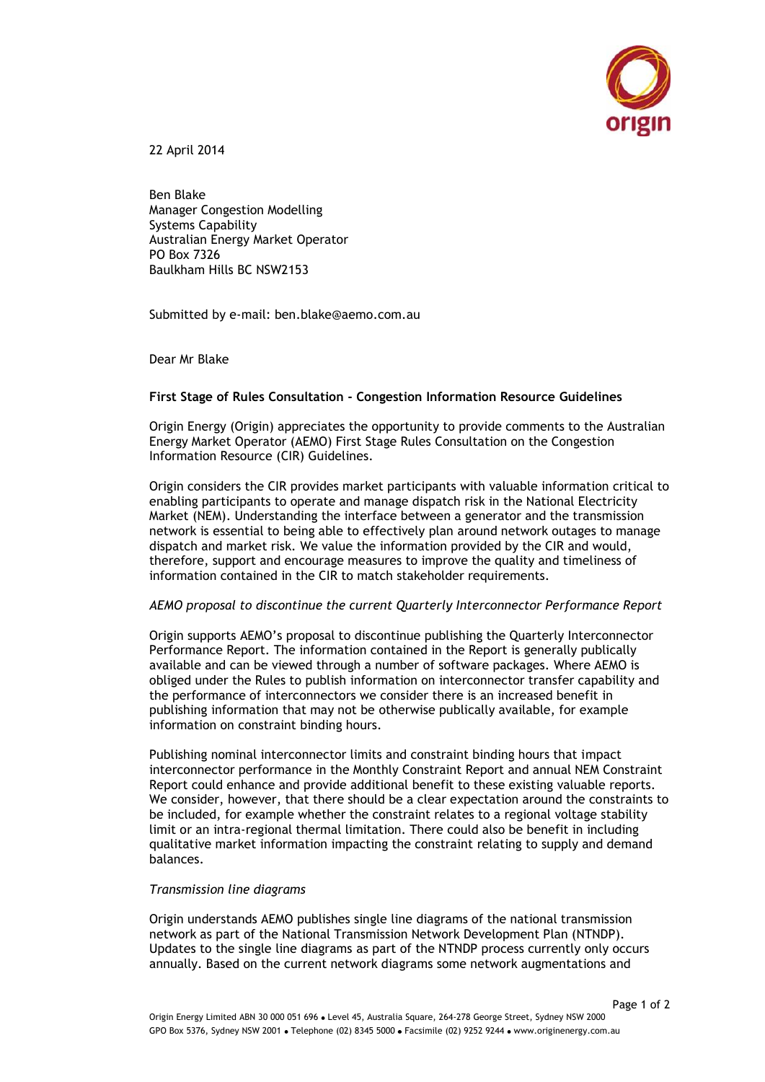

22 April 2014

Ben Blake Manager Congestion Modelling Systems Capability Australian Energy Market Operator PO Box 7326 Baulkham Hills BC NSW2153

Submitted by e-mail: ben.blake@aemo.com.au

Dear Mr Blake

## **First Stage of Rules Consultation - Congestion Information Resource Guidelines**

Origin Energy (Origin) appreciates the opportunity to provide comments to the Australian Energy Market Operator (AEMO) First Stage Rules Consultation on the Congestion Information Resource (CIR) Guidelines.

Origin considers the CIR provides market participants with valuable information critical to enabling participants to operate and manage dispatch risk in the National Electricity Market (NEM). Understanding the interface between a generator and the transmission network is essential to being able to effectively plan around network outages to manage dispatch and market risk. We value the information provided by the CIR and would, therefore, support and encourage measures to improve the quality and timeliness of information contained in the CIR to match stakeholder requirements.

## *AEMO proposal to discontinue the current Quarterly Interconnector Performance Report*

Origin supports AEMO's proposal to discontinue publishing the Quarterly Interconnector Performance Report. The information contained in the Report is generally publically available and can be viewed through a number of software packages. Where AEMO is obliged under the Rules to publish information on interconnector transfer capability and the performance of interconnectors we consider there is an increased benefit in publishing information that may not be otherwise publically available, for example information on constraint binding hours.

Publishing nominal interconnector limits and constraint binding hours that impact interconnector performance in the Monthly Constraint Report and annual NEM Constraint Report could enhance and provide additional benefit to these existing valuable reports. We consider, however, that there should be a clear expectation around the constraints to be included, for example whether the constraint relates to a regional voltage stability limit or an intra-regional thermal limitation. There could also be benefit in including qualitative market information impacting the constraint relating to supply and demand balances.

## *Transmission line diagrams*

Origin understands AEMO publishes single line diagrams of the national transmission network as part of the National Transmission Network Development Plan (NTNDP). Updates to the single line diagrams as part of the NTNDP process currently only occurs annually. Based on the current network diagrams some network augmentations and